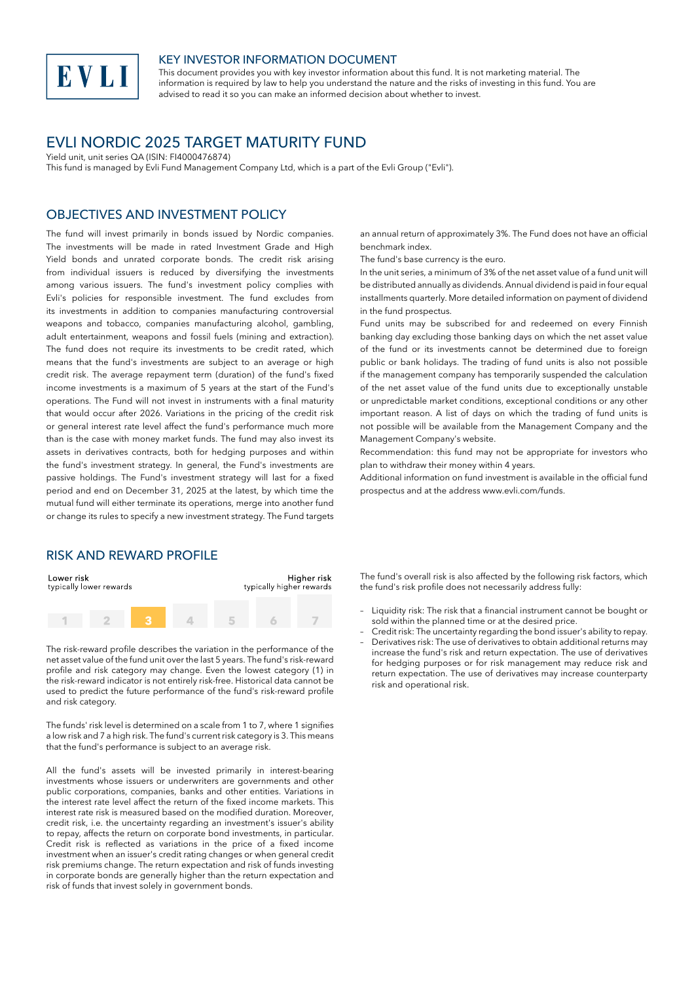

#### KEY INVESTOR INFORMATION DOCUMENT

This document provides you with key investor information about this fund. It is not marketing material. The information is required by law to help you understand the nature and the risks of investing in this fund. You are advised to read it so you can make an informed decision about whether to invest.

# EVLI NORDIC 2025 TARGET MATURITY FUND

Yield unit, unit series QA (ISIN: FI4000476874)

This fund is managed by Evli Fund Management Company Ltd, which is a part of the Evli Group ("Evli").

#### OBJECTIVES AND INVESTMENT POLICY

The fund will invest primarily in bonds issued by Nordic companies. The investments will be made in rated Investment Grade and High Yield bonds and unrated corporate bonds. The credit risk arising from individual issuers is reduced by diversifying the investments among various issuers. The fund's investment policy complies with Evli's policies for responsible investment. The fund excludes from its investments in addition to companies manufacturing controversial weapons and tobacco, companies manufacturing alcohol, gambling, adult entertainment, weapons and fossil fuels (mining and extraction). The fund does not require its investments to be credit rated, which means that the fund's investments are subject to an average or high credit risk. The average repayment term (duration) of the fund's fixed income investments is a maximum of 5 years at the start of the Fund's operations. The Fund will not invest in instruments with a final maturity that would occur after 2026. Variations in the pricing of the credit risk or general interest rate level affect the fund's performance much more than is the case with money market funds. The fund may also invest its assets in derivatives contracts, both for hedging purposes and within the fund's investment strategy. In general, the Fund's investments are passive holdings. The Fund's investment strategy will last for a fixed period and end on December 31, 2025 at the latest, by which time the mutual fund will either terminate its operations, merge into another fund or change its rules to specify a new investment strategy. The Fund targets

#### RISK AND REWARD PROFILE

| Lower risk<br>typically lower rewards |  | Higher risk<br>typically higher rewards |  |  |  |
|---------------------------------------|--|-----------------------------------------|--|--|--|
|                                       |  |                                         |  |  |  |

The risk-reward profile describes the variation in the performance of the net asset value of the fund unit over the last 5 years. The fund's risk-reward profile and risk category may change. Even the lowest category (1) in the risk-reward indicator is not entirely risk-free. Historical data cannot be used to predict the future performance of the fund's risk-reward profile and risk category.

The funds' risk level is determined on a scale from 1 to 7, where 1 signifies a low risk and 7 a high risk. The fund's current risk category is 3. This means that the fund's performance is subject to an average risk.

All the fund's assets will be invested primarily in interest-bearing investments whose issuers or underwriters are governments and other public corporations, companies, banks and other entities. Variations in the interest rate level affect the return of the fixed income markets. This interest rate risk is measured based on the modified duration. Moreover, credit risk, i.e. the uncertainty regarding an investment's issuer's ability to repay, affects the return on corporate bond investments, in particular. Credit risk is reflected as variations in the price of a fixed income investment when an issuer's credit rating changes or when general credit risk premiums change. The return expectation and risk of funds investing in corporate bonds are generally higher than the return expectation and risk of funds that invest solely in government bonds.

an annual return of approximately 3%. The Fund does not have an official benchmark index.

The fund's base currency is the euro.

In the unit series, a minimum of 3% of the net asset value of a fund unit will be distributed annually as dividends. Annual dividend is paid in four equal installments quarterly. More detailed information on payment of dividend in the fund prospectus.

Fund units may be subscribed for and redeemed on every Finnish banking day excluding those banking days on which the net asset value of the fund or its investments cannot be determined due to foreign public or bank holidays. The trading of fund units is also not possible if the management company has temporarily suspended the calculation of the net asset value of the fund units due to exceptionally unstable or unpredictable market conditions, exceptional conditions or any other important reason. A list of days on which the trading of fund units is not possible will be available from the Management Company and the Management Company's website.

Recommendation: this fund may not be appropriate for investors who plan to withdraw their money within 4 years.

Additional information on fund investment is available in the official fund prospectus and at the address www.evli.com/funds.

The fund's overall risk is also affected by the following risk factors, which the fund's risk profile does not necessarily address fully:

- Liquidity risk: The risk that a financial instrument cannot be bought or sold within the planned time or at the desired price.
- Credit risk: The uncertainty regarding the bond issuer's ability to repay. – Derivatives risk: The use of derivatives to obtain additional returns may increase the fund's risk and return expectation. The use of derivatives for hedging purposes or for risk management may reduce risk and return expectation. The use of derivatives may increase counterparty risk and operational risk.